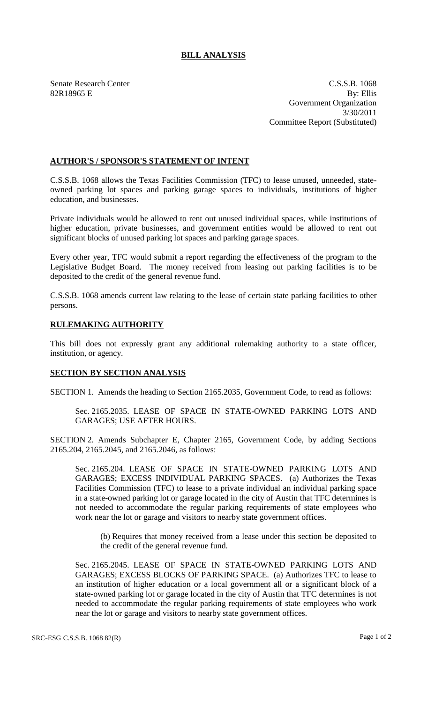## **BILL ANALYSIS**

Senate Research Center C.S.S.B. 1068  $82R18965$  E By: Ellis Government Organization 3/30/2011 Committee Report (Substituted)

## **AUTHOR'S / SPONSOR'S STATEMENT OF INTENT**

C.S.S.B. 1068 allows the Texas Facilities Commission (TFC) to lease unused, unneeded, stateowned parking lot spaces and parking garage spaces to individuals, institutions of higher education, and businesses.

Private individuals would be allowed to rent out unused individual spaces, while institutions of higher education, private businesses, and government entities would be allowed to rent out significant blocks of unused parking lot spaces and parking garage spaces.

Every other year, TFC would submit a report regarding the effectiveness of the program to the Legislative Budget Board. The money received from leasing out parking facilities is to be deposited to the credit of the general revenue fund.

C.S.S.B. 1068 amends current law relating to the lease of certain state parking facilities to other persons.

## **RULEMAKING AUTHORITY**

This bill does not expressly grant any additional rulemaking authority to a state officer, institution, or agency.

## **SECTION BY SECTION ANALYSIS**

SECTION 1. Amends the heading to Section 2165.2035, Government Code, to read as follows:

Sec. 2165.2035. LEASE OF SPACE IN STATE-OWNED PARKING LOTS AND GARAGES; USE AFTER HOURS.

SECTION 2. Amends Subchapter E, Chapter 2165, Government Code, by adding Sections 2165.204, 2165.2045, and 2165.2046, as follows:

Sec. 2165.204. LEASE OF SPACE IN STATE-OWNED PARKING LOTS AND GARAGES; EXCESS INDIVIDUAL PARKING SPACES. (a) Authorizes the Texas Facilities Commission (TFC) to lease to a private individual an individual parking space in a state-owned parking lot or garage located in the city of Austin that TFC determines is not needed to accommodate the regular parking requirements of state employees who work near the lot or garage and visitors to nearby state government offices.

(b) Requires that money received from a lease under this section be deposited to the credit of the general revenue fund.

Sec. 2165.2045. LEASE OF SPACE IN STATE-OWNED PARKING LOTS AND GARAGES; EXCESS BLOCKS OF PARKING SPACE. (a) Authorizes TFC to lease to an institution of higher education or a local government all or a significant block of a state-owned parking lot or garage located in the city of Austin that TFC determines is not needed to accommodate the regular parking requirements of state employees who work near the lot or garage and visitors to nearby state government offices.